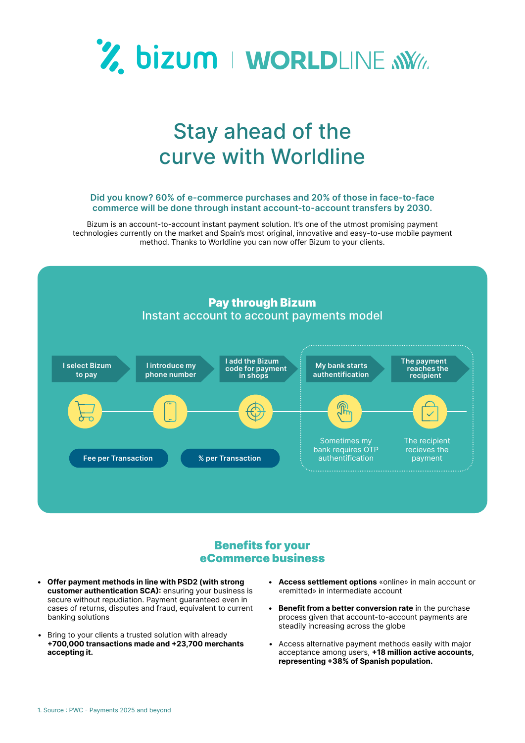

## Stay ahead of the curve with Worldline

## **Did you know? 60% of e-commerce purchases and 20% of those in face-to-face commerce will be done through instant account-to-account transfers by 2030.**

Bizum is an account-to-account instant payment solution. It's one of the utmost promising payment technologies currently on the market and Spain's most original, innovative and easy-to-use mobile payment method. Thanks to Worldline you can now offer Bizum to your clients.



## Benefits for your eCommerce business

- **• Offer payment methods in line with PSD2 (with strong customer authentication SCA):** ensuring your business is secure without repudiation. Payment quaranteed even in cases of returns, disputes and fraud, equivalent to current banking solutions
- Bring to your clients a trusted solution with already **+700,000 transactions made and +23,700 merchants accepting it.**
- **• Access settlement options** «online» in main account or «remitted» in intermediate account
- **• Benefit from a better conversion rate** in the purchase process given that account-to-account payments are steadily increasing across the globe
- Access alternative payment methods easily with major acceptance among users, **+18 million active accounts, representing +38% of Spanish population.**